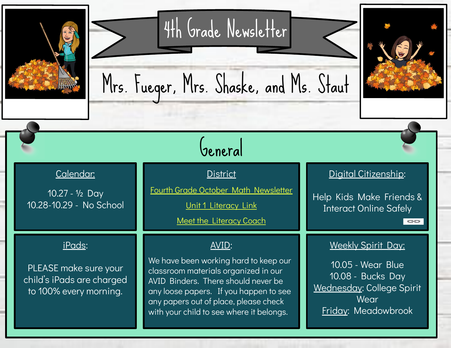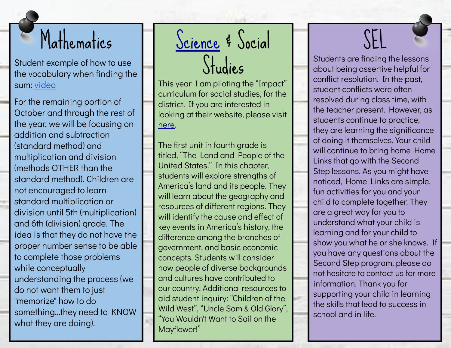## Mathematics

Student example of how to use the vocabulary when finding the sum: [video](https://drive.google.com/open?id=0ByHBTQljg58xdnA5eFdlYXJIaWM)

For the remaining portion of October and through the rest of the year, we will be focusing on addition and subtraction (standard method) and multiplication and division (methods OTHER than the standard method). Children are not encouraged to learn standard multiplication or division until 5th (multiplication) and 6th (division) grade. The idea is that they do not have the proper number sense to be able to complete those problems while conceptually understanding the process (we do not want them to just "memorize" how to do something...they need to KNOW what they are doing).

## <u>[Science](https://docs.google.com/presentation/d/124OC16yZE6DRvfw4Pcftw4dLeW-olpQrHvT20bZnsEY/edit?usp=sharing)</u> & Social Studies

This year I am piloting the "Impact" curriculum for social studies, for the district. If you are interested in looking at their website, please visit [here.](https://www.mheducation.com/prek-12/program/MKTSP-AAS02M0.html)

The first unit in fourth grade is titled, "The Land and People of the United States." In this chapter, students will explore strengths of America's land and its people. They will learn about the geography and resources of different regions. They will identify the cause and effect of key events in America's history, the difference among the branches of government, and basic economic concepts. Students will consider how people of diverse backgrounds and cultures have contributed to our country. Additional resources to aid student inquiry: "Children of the Wild West", "Uncle Sam & Old Glory", "You Wouldn't Want to Sail on the Mayflower!"

# SEL

Students are finding the lessons about being assertive helpful for conflict resolution. In the past, student conflicts were often resolved during class time, with the teacher present. However, as students continue to practice, they are learning the significance of doing it themselves. Your child will continue to bring home Home Links that go with the Second Step lessons. As you might have noticed, Home Links are simple, fun activities for you and your child to complete together. They are a great way for you to understand what your child is learning and for your child to show you what he or she knows. If you have any questions about the Second Step program, please do not hesitate to contact us for more information. Thank you for supporting your child in learning the skills that lead to success in school and in life.